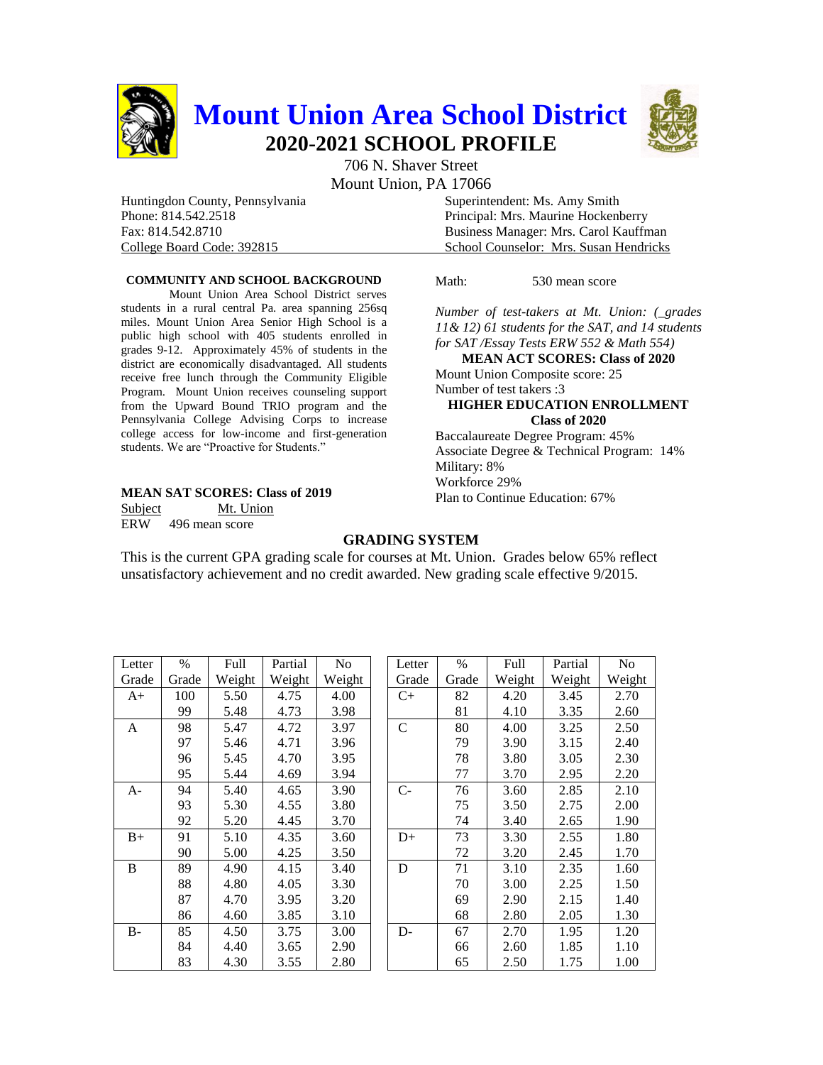

Mount Union, PA 17066

Huntingdon County, Pennsylvania Superintendent: Ms. Amy Smith

Phone: 814.542.2518 Principal: Mrs. Maurine Hockenberry Fax: 814.542.8710 Business Manager: Mrs. Carol Kauffman College Board Code: 392815 School Counselor: Mrs. Susan Hendricks

### **COMMUNITY AND SCHOOL BACKGROUND**

Mount Union Area School District serves students in a rural central Pa. area spanning 256sq miles. Mount Union Area Senior High School is a public high school with 405 students enrolled in grades 9-12. Approximately 45% of students in the district are economically disadvantaged. All students receive free lunch through the Community Eligible Program. Mount Union receives counseling support from the Upward Bound TRIO program and the Pennsylvania College Advising Corps to increase college access for low-income and first-generation students. We are "Proactive for Students."

#### **MEAN SAT SCORES: Class of 2019**

Subject Mt. Union ERW 496 mean score

Math: 530 mean score

*Number of test-takers at Mt. Union: (\_grades 11& 12) 61 students for the SAT, and 14 students for SAT /Essay Tests ERW 552 & Math 554)* **MEAN ACT SCORES: Class of 2020** Mount Union Composite score: 25 Number of test takers :3

# **HIGHER EDUCATION ENROLLMENT Class of 2020**

Baccalaureate Degree Program: 45% Associate Degree & Technical Program: 14% Military: 8% Workforce 29% Plan to Continue Education: 67%

## **GRADING SYSTEM**

This is the current GPA grading scale for courses at Mt. Union. Grades below 65% reflect unsatisfactory achievement and no credit awarded. New grading scale effective 9/2015.

| Letter | %     | Full   | Partial | No     |
|--------|-------|--------|---------|--------|
| Grade  | Grade | Weight | Weight  | Weight |
| A+     | 100   | 5.50   | 4.75    | 4.00   |
|        | 99    | 5.48   | 4.73    | 3.98   |
| A      | 98    | 5.47   | 4.72    | 3.97   |
|        | 97    | 5.46   | 4.71    | 3.96   |
|        | 96    | 5.45   | 4.70    | 3.95   |
|        | 95    | 5.44   | 4.69    | 3.94   |
| $A-$   | 94    | 5.40   | 4.65    | 3.90   |
|        | 93    | 5.30   | 4.55    | 3.80   |
|        | 92    | 5.20   | 4.45    | 3.70   |
| $B+$   | 91    | 5.10   | 4.35    | 3.60   |
|        | 90    | 5.00   | 4.25    | 3.50   |
| B      | 89    | 4.90   | 4.15    | 3.40   |
|        | 88    | 4.80   | 4.05    | 3.30   |
|        | 87    | 4.70   | 3.95    | 3.20   |
|        | 86    | 4.60   | 3.85    | 3.10   |
| $B -$  | 85    | 4.50   | 3.75    | 3.00   |
|        | 84    | 4.40   | 3.65    | 2.90   |
|        | 83    | 4.30   | 3.55    | 2.80   |

| Letter       | $\%$  | Full   | Partial | N <sub>0</sub> |
|--------------|-------|--------|---------|----------------|
| Grade        | Grade | Weight | Weight  | Weight         |
| $C+$         | 82    | 4.20   | 3.45    | 2.70           |
|              | 81    | 4.10   | 3.35    | 2.60           |
| $\mathsf{C}$ | 80    | 4.00   | 3.25    | 2.50           |
|              | 79    | 3.90   | 3.15    | 2.40           |
|              | 78    | 3.80   | 3.05    | 2.30           |
|              | 77    | 3.70   | 2.95    | 2.20           |
| $C-$         | 76    | 3.60   | 2.85    | 2.10           |
|              | 75    | 3.50   | 2.75    | 2.00           |
|              | 74    | 3.40   | 2.65    | 1.90           |
| $D+$         | 73    | 3.30   | 2.55    | 1.80           |
|              | 72    | 3.20   | 2.45    | 1.70           |
| D            | 71    | 3.10   | 2.35    | 1.60           |
|              | 70    | 3.00   | 2.25    | 1.50           |
|              | 69    | 2.90   | 2.15    | 1.40           |
|              | 68    | 2.80   | 2.05    | 1.30           |
| D-           | 67    | 2.70   | 1.95    | 1.20           |
|              | 66    | 2.60   | 1.85    | 1.10           |
|              | 65    | 2.50   | 1.75    | 1.00           |